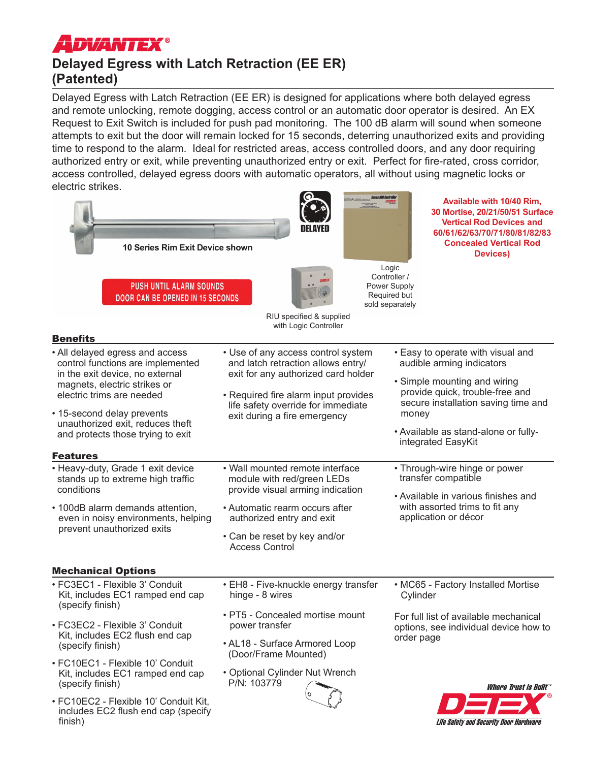# **ADVANTEX®**

finish)

# **Delayed Egress with Latch Retraction (EE ER) (Patented)**

Delayed Egress with Latch Retraction (EE ER) is designed for applications where both delayed egress and remote unlocking, remote dogging, access control or an automatic door operator is desired. An EX Request to Exit Switch is included for push pad monitoring. The 100 dB alarm will sound when someone attempts to exit but the door will remain locked for 15 seconds, deterring unauthorized exits and providing time to respond to the alarm. Ideal for restricted areas, access controlled doors, and any door requiring authorized entry or exit, while preventing unauthorized entry or exit. Perfect for fire-rated, cross corridor, access controlled, delayed egress doors with automatic operators, all without using magnetic locks or electric strikes.

| 10 Series Rim Exit Device shown                                                                                                                                                                                                                                                                                                                                                                                                                                                                 |                                                                                                                                                                                                                                                                                                                                                                                                                                                            | Available with 10/40 Rim,<br>30 Mortise, 20/21/50/51 Surface<br><b>Vertical Rod Devices and</b><br>60/61/62/63/70/71/80/81/82/83<br><b>Concealed Vertical Rod</b><br>Devices)<br>Logic<br>Controller /                                                                                                                                                                                                   |
|-------------------------------------------------------------------------------------------------------------------------------------------------------------------------------------------------------------------------------------------------------------------------------------------------------------------------------------------------------------------------------------------------------------------------------------------------------------------------------------------------|------------------------------------------------------------------------------------------------------------------------------------------------------------------------------------------------------------------------------------------------------------------------------------------------------------------------------------------------------------------------------------------------------------------------------------------------------------|----------------------------------------------------------------------------------------------------------------------------------------------------------------------------------------------------------------------------------------------------------------------------------------------------------------------------------------------------------------------------------------------------------|
| <b>PUSH UNTIL ALARM SOUNDS</b><br><b>DOOR CAN BE OPENED IN 15 SECONDS</b>                                                                                                                                                                                                                                                                                                                                                                                                                       | RIU specified & supplied<br>with Logic Controller                                                                                                                                                                                                                                                                                                                                                                                                          | Power Supply<br>Required but<br>sold separately                                                                                                                                                                                                                                                                                                                                                          |
| <b>Benefits</b>                                                                                                                                                                                                                                                                                                                                                                                                                                                                                 |                                                                                                                                                                                                                                                                                                                                                                                                                                                            |                                                                                                                                                                                                                                                                                                                                                                                                          |
| • All delayed egress and access<br>control functions are implemented<br>in the exit device, no external<br>magnets, electric strikes or<br>electric trims are needed<br>• 15-second delay prevents<br>unauthorized exit, reduces theft<br>and protects those trying to exit<br><b>Features</b><br>• Heavy-duty, Grade 1 exit device<br>stands up to extreme high traffic<br>conditions<br>• 100dB alarm demands attention,<br>even in noisy environments, helping<br>prevent unauthorized exits | • Use of any access control system<br>and latch retraction allows entry/<br>exit for any authorized card holder<br>• Required fire alarm input provides<br>life safety override for immediate<br>exit during a fire emergency<br>• Wall mounted remote interface<br>module with red/green LEDs<br>provide visual arming indication<br>• Automatic rearm occurs after<br>authorized entry and exit<br>• Can be reset by key and/or<br><b>Access Control</b> | • Easy to operate with visual and<br>audible arming indicators<br>• Simple mounting and wiring<br>provide quick, trouble-free and<br>secure installation saving time and<br>money<br>• Available as stand-alone or fully-<br>integrated EasyKit<br>• Through-wire hinge or power<br>transfer compatible<br>• Available in various finishes and<br>with assorted trims to fit any<br>application or décor |
| <b>Mechanical Options</b>                                                                                                                                                                                                                                                                                                                                                                                                                                                                       |                                                                                                                                                                                                                                                                                                                                                                                                                                                            |                                                                                                                                                                                                                                                                                                                                                                                                          |
| · FC3EC1 - Flexible 3' Conduit<br>Kit, includes EC1 ramped end cap<br>(specify finish)                                                                                                                                                                                                                                                                                                                                                                                                          | • EH8 - Five-knuckle energy transfer<br>hinge - 8 wires                                                                                                                                                                                                                                                                                                                                                                                                    | • MC65 - Factory Installed Mortise<br>Cylinder                                                                                                                                                                                                                                                                                                                                                           |
| • FC3EC2 - Flexible 3' Conduit<br>Kit, includes EC2 flush end cap<br>(specify finish)<br>· FC10EC1 - Flexible 10' Conduit<br>Kit, includes EC1 ramped end cap<br>(specify finish)                                                                                                                                                                                                                                                                                                               | • PT5 - Concealed mortise mount<br>power transfer<br>• AL18 - Surface Armored Loop<br>(Door/Frame Mounted)<br>• Optional Cylinder Nut Wrench<br>P/N: 103779                                                                                                                                                                                                                                                                                                | For full list of available mechanical<br>options, see individual device how to<br>order page                                                                                                                                                                                                                                                                                                             |
| • FC10EC2 - Flexible 10' Conduit Kit,<br>includes EC2 flush end cap (specify                                                                                                                                                                                                                                                                                                                                                                                                                    |                                                                                                                                                                                                                                                                                                                                                                                                                                                            | <i><b>Where Trust is Built</b></i><br>$P \square P$                                                                                                                                                                                                                                                                                                                                                      |

Life Safety and Security Door Hardware